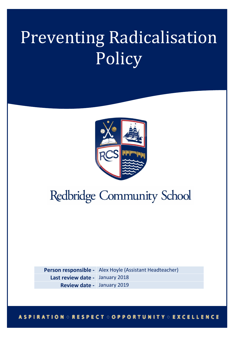# Preventing Radicalisation Policy



# **Redbridge Community School**

**Person responsible -** Alex Hoyle (Assistant Headteacher) **Last review date -** January 2018 **Review date -** January 2019

#### **ASPIRATION : RESPECT : OPPORTUNITY : EXCELLENCE**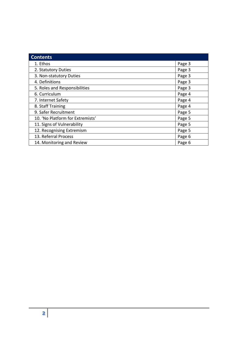| <b>Contents</b>                  |        |
|----------------------------------|--------|
| 1. Ethos                         | Page 3 |
| 2. Statutory Duties              | Page 3 |
| 3. Non-statutory Duties          | Page 3 |
| 4. Definitions                   | Page 3 |
| 5. Roles and Responsibilities    | Page 3 |
| 6. Curriculum                    | Page 4 |
| 7. Internet Safety               | Page 4 |
| 8. Staff Training                | Page 4 |
| 9. Safer Recruitment             | Page 5 |
| 10. 'No Platform for Extremists' | Page 5 |
| 11. Signs of Vulnerability       | Page 5 |
| 12. Recognising Extremism        | Page 5 |
| 13. Referral Process             | Page 6 |
| 14. Monitoring and Review        | Page 6 |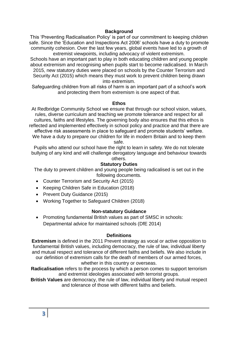#### **Background**

This 'Preventing Radicalisation Policy' is part of our commitment to keeping children safe. Since the 'Education and Inspections Act 2006' schools have a duty to promote community cohesion. Over the last few years, global events have led to a growth of extremist viewpoints, including advocacy of violent extremism.

Schools have an important part to play in both educating children and young people about extremism and recognising when pupils start to become radicalised. In March 2015, new statutory duties were placed on schools by the Counter Terrorism and Security Act (2015) which means they must work to prevent children being drawn into extremism.

Safeguarding children from all risks of harm is an important part of a school's work and protecting them from extremism is one aspect of that.

#### **Ethos**

At Redbridge Community School we ensure that through our school vision, values, rules, diverse curriculum and teaching we promote tolerance and respect for all cultures, faiths and lifestyles. The governing body also ensures that this ethos is reflected and implemented effectively in school policy and practice and that there are effective risk assessments in place to safeguard and promote students' welfare. We have a duty to prepare our children for life in modern Britain and to keep them safe.

Pupils who attend our school have the right to learn in safety. We do not tolerate bullying of any kind and will challenge derogatory language and behaviour towards others.

#### **Statutory Duties**

The duty to prevent children and young people being radicalised is set out in the following documents.

- Counter Terrorism and Security Act (2015)
- Keeping Children Safe in Education (2018)
- Prevent Duty Guidance (2015)
- Working Together to Safeguard Children (2018)

#### **Non-statutory Guidance**

• Promoting fundamental British values as part of SMSC in schools: Departmental advice for maintained schools (DfE 2014)

#### **Definitions**

**Extremism** is defined in the 2011 Prevent strategy as vocal or active opposition to fundamental British values, including democracy, the rule of law, individual liberty and mutual respect and tolerance of different faiths and beliefs. We also include in our definition of extremism calls for the death of members of our armed forces, whether in this country or overseas.

**Radicalisation** refers to the process by which a person comes to support terrorism and extremist ideologies associated with terrorist groups.

**British Values** are democracy, the rule of law, individual liberty and mutual respect and tolerance of those with different faiths and beliefs.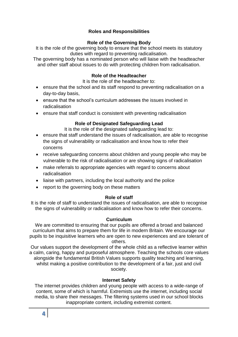# **Roles and Responsibilities**

#### **Role of the Governing Body**

It is the role of the governing body to ensure that the school meets its statutory duties with regard to preventing radicalisation.

The governing body has a nominated person who will liaise with the headteacher and other staff about issues to do with protecting children from radicalisation.

#### **Role of the Headteacher**

It is the role of the headteacher to:

- ensure that the school and its staff respond to preventing radicalisation on a day-to-day basis,
- ensure that the school's curriculum addresses the issues involved in radicalisation
- ensure that staff conduct is consistent with preventing radicalisation

# **Role of Designated Safeguarding Lead**

It is the role of the designated safeguarding lead to:

- ensure that staff understand the issues of radicalisation, are able to recognise the signs of vulnerability or radicalisation and know how to refer their concerns
- receive safeguarding concerns about children and young people who may be vulnerable to the risk of radicalisation or are showing signs of radicalisation
- make referrals to appropriate agencies with regard to concerns about radicalisation
- liaise with partners, including the local authority and the police
- report to the governing body on these matters

# **Role of staff**

It is the role of staff to understand the issues of radicalisation, are able to recognise the signs of vulnerability or radicalisation and know how to refer their concerns.

#### **Curriculum**

We are committed to ensuring that our pupils are offered a broad and balanced curriculum that aims to prepare them for life in modern Britain. We encourage our pupils to be inquisitive learners who are open to new experiences and are tolerant of others.

Our values support the development of the whole child as a reflective learner within a calm, caring, happy and purposeful atmosphere. Teaching the schools core values alongside the fundamental British Values supports quality teaching and learning, whilst making a positive contribution to the development of a fair, just and civil society.

#### **Internet Safety**

The internet provides children and young people with access to a wide-range of content, some of which is harmful. Extremists use the internet, including social media, to share their messages. The filtering systems used in our school blocks inappropriate content, including extremist content.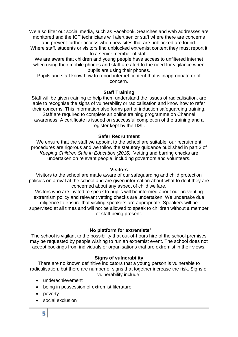We also filter out social media, such as Facebook. Searches and web addresses are monitored and the ICT technicians will alert senior staff where there are concerns and prevent further access when new sites that are unblocked are found.

Where staff, students or visitors find unblocked extremist content they must report it to a senior member of staff.

We are aware that children and young people have access to unfiltered internet when using their mobile phones and staff are alert to the need for vigilance when pupils are using their phones.

Pupils and staff know how to report internet content that is inappropriate or of concern.

# **Staff Training**

Staff will be given training to help them understand the issues of radicalisation, are able to recognise the signs of vulnerability or radicalisation and know how to refer their concerns. This information also forms part of induction safeguarding training. Staff are required to complete an online training programme on Channel awareness. A certificate is issued on successful completion of the training and a register kept by the DSL.

# **Safer Recruitment**

We ensure that the staff we appoint to the school are suitable, our recruitment procedures are rigorous and we follow the statutory guidance published in part 3 of *Keeping Children Safe in Education (2016).* Vetting and barring checks are undertaken on relevant people, including governors and volunteers.

#### **Visitors**

Visitors to the school are made aware of our safeguarding and child protection policies on arrival at the school and are given information about what to do if they are concerned about any aspect of child welfare.

Visitors who are invited to speak to pupils will be informed about our preventing extremism policy and relevant vetting checks are undertaken. We undertake due diligence to ensure that visiting speakers are appropriate. Speakers will be supervised at all times and will not be allowed to speak to children without a member of staff being present.

# **'No platform for extremists'**

The school is vigilant to the possibility that out-of-hours hire of the school premises may be requested by people wishing to run an extremist event. The school does not accept bookings from individuals or organisations that are extremist in their views.

# **Signs of vulnerability**

There are no known definitive indicators that a young person is vulnerable to radicalisation, but there are number of signs that together increase the risk. Signs of vulnerability include:

- underachievement
- being in possession of extremist literature
- poverty
- social exclusion